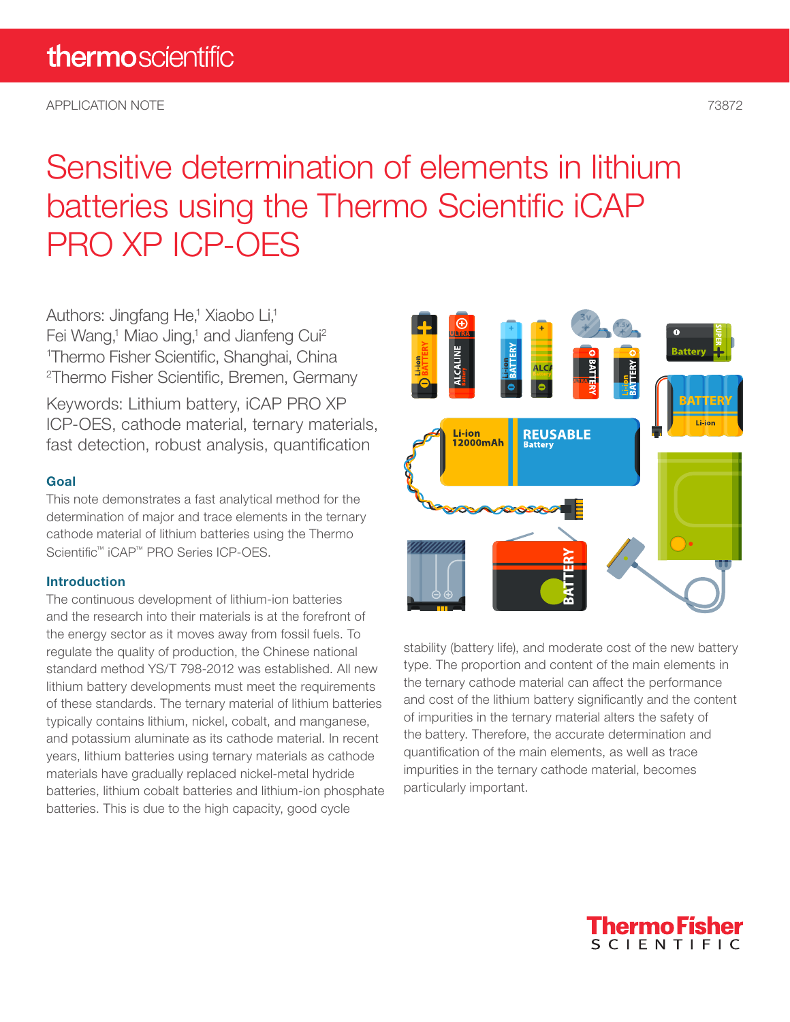### Sensitive determination of elements in lithium batteries using the Thermo Scientific iCAP PRO XP ICP-OES

Authors: Jingfang He,<sup>1</sup> Xiaobo Li,<sup>1</sup> Fei Wang,<sup>1</sup> Miao Jing,<sup>1</sup> and Jianfeng Cui<sup>2</sup> 1 Thermo Fisher Scientific, Shanghai, China 2 Thermo Fisher Scientific, Bremen, Germany Keywords: Lithium battery, iCAP PRO XP

ICP-OES, cathode material, ternary materials, fast detection, robust analysis, quantification

#### Goal

This note demonstrates a fast analytical method for the determination of major and trace elements in the ternary cathode material of lithium batteries using the Thermo Scientific™ iCAP™ PRO Series ICP-OES.

#### Introduction

The continuous development of lithium-ion batteries and the research into their materials is at the forefront of the energy sector as it moves away from fossil fuels. To regulate the quality of production, the Chinese national standard method YS/T 798-2012 was established. All new lithium battery developments must meet the requirements of these standards. The ternary material of lithium batteries typically contains lithium, nickel, cobalt, and manganese, and potassium aluminate as its cathode material. In recent years, lithium batteries using ternary materials as cathode materials have gradually replaced nickel-metal hydride batteries, lithium cobalt batteries and lithium-ion phosphate batteries. This is due to the high capacity, good cycle



stability (battery life), and moderate cost of the new battery type. The proportion and content of the main elements in the ternary cathode material can affect the performance and cost of the lithium battery significantly and the content of impurities in the ternary material alters the safety of the battery. Therefore, the accurate determination and quantification of the main elements, as well as trace impurities in the ternary cathode material, becomes particularly important.

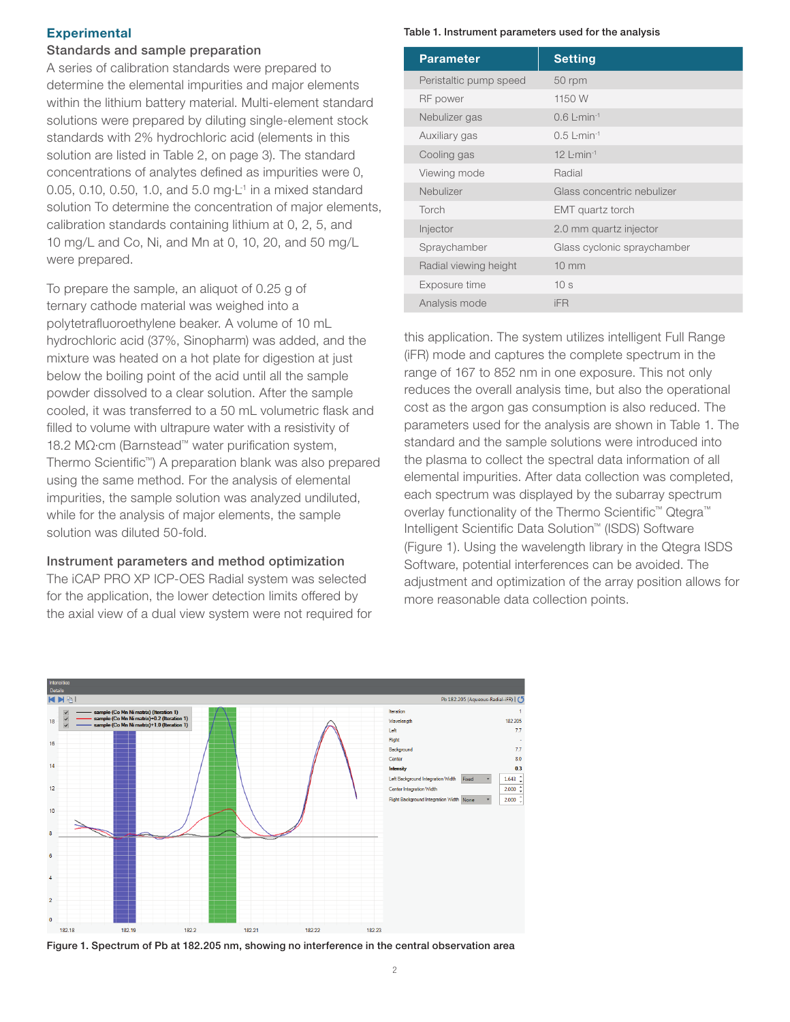#### **Experimental**

#### Standards and sample preparation

A series of calibration standards were prepared to determine the elemental impurities and major elements within the lithium battery material. Multi-element standard solutions were prepared by diluting single-element stock standards with 2% hydrochloric acid (elements in this solution are listed in Table 2, on page 3). The standard concentrations of analytes defined as impurities were 0, 0.05, 0.10, 0.50, 1.0, and 5.0 mg $\cdot$ L<sup>-1</sup> in a mixed standard solution To determine the concentration of major elements, calibration standards containing lithium at 0, 2, 5, and 10 mg/L and Co, Ni, and Mn at 0, 10, 20, and 50 mg/L were prepared.

To prepare the sample, an aliquot of 0.25 g of ternary cathode material was weighed into a polytetrafluoroethylene beaker. A volume of 10 mL hydrochloric acid (37%, Sinopharm) was added, and the mixture was heated on a hot plate for digestion at just below the boiling point of the acid until all the sample powder dissolved to a clear solution. After the sample cooled, it was transferred to a 50 mL volumetric flask and filled to volume with ultrapure water with a resistivity of 18.2 MΩ·cm (Barnstead™ water purification system, Thermo Scientific™) A preparation blank was also prepared using the same method. For the analysis of elemental impurities, the sample solution was analyzed undiluted, while for the analysis of major elements, the sample solution was diluted 50-fold.

#### Instrument parameters and method optimization

The iCAP PRO XP ICP-OES Radial system was selected for the application, the lower detection limits offered by the axial view of a dual view system were not required for

#### Table 1. Instrument parameters used for the analysis

| <b>Parameter</b>       | <b>Setting</b>              |
|------------------------|-----------------------------|
| Peristaltic pump speed | 50 rpm                      |
| RF power               | 1150 W                      |
| Nebulizer gas          | $0.6$ L $\cdot$ min $^{-1}$ |
| Auxiliary gas          | $0.51$ min-1                |
| Cooling gas            | $12$ L·min-1                |
| Viewing mode           | Radial                      |
| Nebulizer              | Glass concentric nebulizer  |
| Torch                  | <b>EMT</b> quartz torch     |
| Injector               | 2.0 mm quartz injector      |
| Spraychamber           | Glass cyclonic spraychamber |
| Radial viewing height  | $10 \text{ mm}$             |
| Exposure time          | 10 <sub>s</sub>             |
| Analysis mode          | iFR                         |

this application. The system utilizes intelligent Full Range (iFR) mode and captures the complete spectrum in the range of 167 to 852 nm in one exposure. This not only reduces the overall analysis time, but also the operational cost as the argon gas consumption is also reduced. The parameters used for the analysis are shown in Table 1. The standard and the sample solutions were introduced into the plasma to collect the spectral data information of all elemental impurities. After data collection was completed, each spectrum was displayed by the subarray spectrum overlay functionality of the Thermo Scientific ™ Qtegra™ Intelligent Scientific Data Solution ™ (ISDS) Software (Figure 1). Using the wavelength library in the Qtegra ISDS Software, potential interferences can be avoided. The adjustment and optimization of the array position allows for more reasonable data collection points.



Figure 1. Spectrum of Pb at 182.205 nm, showing no interference in the central observation area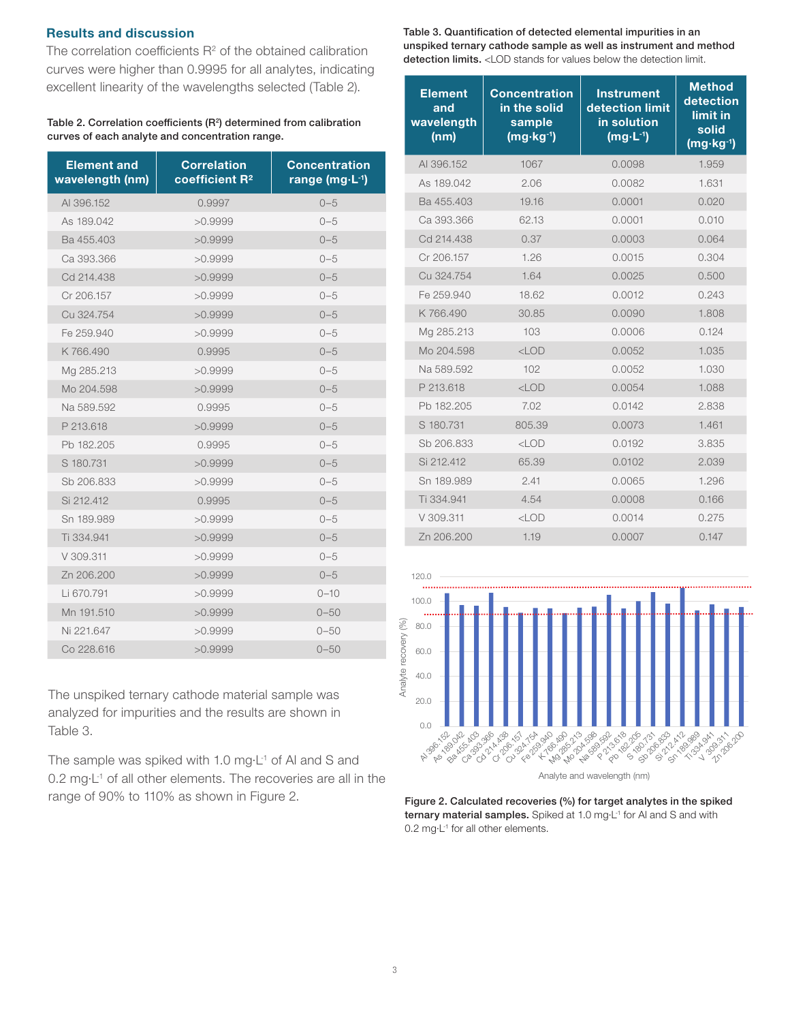#### Results and discussion

The correlation coefficients  $R^2$  of the obtained calibration curves were higher than 0.9995 for all analytes, indicating excellent linearity of the wavelengths selected (Table 2).

#### Table 2. Correlation coefficients (R<sup>2</sup>) determined from calibration curves of each analyte and concentration range.

| <b>Element and</b><br>wavelength (nm) | <b>Correlation</b><br>coefficient R <sup>2</sup> | <b>Concentration</b><br>range (mg $\cdot$ L <sup>-1</sup> ) |
|---------------------------------------|--------------------------------------------------|-------------------------------------------------------------|
| AI 396.152                            | 0.9997                                           | $0 - 5$                                                     |
| As 189.042                            | >0.9999                                          | $0 - 5$                                                     |
| Ba 455,403                            | >0.9999                                          | $0 - 5$                                                     |
| Ca 393,366                            | >0.9999                                          | $0 - 5$                                                     |
| Cd 214,438                            | >0.9999                                          | $0 - 5$                                                     |
| Cr 206.157                            | >0.9999                                          | $0 - 5$                                                     |
| Cu 324.754                            | >0.9999                                          | $0 - 5$                                                     |
| Fe 259.940                            | >0.9999                                          | $0 - 5$                                                     |
| K766.490                              | 0.9995                                           | $0 - 5$                                                     |
| Mg 285.213                            | >0.9999                                          | $0 - 5$                                                     |
| Mo 204.598                            | >0.9999                                          | $0 - 5$                                                     |
| Na 589.592                            | 0.9995                                           | $0 - 5$                                                     |
| P 213.618                             | >0.9999                                          | $0 - 5$                                                     |
| Pb 182.205                            | 0.9995                                           | $0 - 5$                                                     |
| S 180.731                             | >0.9999                                          | $0 - 5$                                                     |
| Sb 206.833                            | >0.9999                                          | $0 - 5$                                                     |
| Si 212.412                            | 0.9995                                           | $0 - 5$                                                     |
| Sn 189.989                            | >0.9999                                          | $0 - 5$                                                     |
| Ti 334.941                            | >0.9999                                          | $0 - 5$                                                     |
| V 309.311                             | >0.9999                                          | $0 - 5$                                                     |
| Zn 206.200                            | >0.9999                                          | $0 - 5$                                                     |
| Li 670.791                            | >0.9999                                          | $0 - 10$                                                    |
| Mn 191.510                            | >0.9999                                          | $0 - 50$                                                    |
| Ni 221.647                            | >0.9999                                          | $0 - 50$                                                    |
| Co 228,616                            | >0.9999                                          | $0 - 50$                                                    |

The unspiked ternary cathode material sample was analyzed for impurities and the results are shown in Table 3.

The sample was spiked with 1.0 mg·L<sup>-1</sup> of AI and S and  $0.2$  mg $\cdot$ L<sup>-1</sup> of all other elements. The recoveries are all in the range of 90% to 110% as shown in Figure 2.

Table 3. Quantification of detected elemental impurities in an unspiked ternary cathode sample as well as instrument and method detection limits. <LOD stands for values below the detection limit.

| <b>Element</b><br>and<br>wavelength<br>(nm) | <b>Concentration</b><br>in the solid<br>sample<br>$(mg \cdot kg^{-1})$ | <b>Instrument</b><br>detection limit<br>in solution<br>$(mg \cdot L^{-1})$ | <b>Method</b><br>detection<br>limit in<br>solid<br>$(mg \cdot kg^{-1})$ |
|---------------------------------------------|------------------------------------------------------------------------|----------------------------------------------------------------------------|-------------------------------------------------------------------------|
| AI 396,152                                  | 1067                                                                   | 0.0098                                                                     | 1.959                                                                   |
| As 189.042                                  | 2.06                                                                   | 0.0082                                                                     | 1.631                                                                   |
| Ba 455.403                                  | 19.16                                                                  | 0.0001                                                                     | 0.020                                                                   |
| Ca 393.366                                  | 62.13                                                                  | 0.0001                                                                     | 0.010                                                                   |
| Cd 214.438                                  | 0.37                                                                   | 0.0003                                                                     | 0.064                                                                   |
| Cr 206.157                                  | 1.26                                                                   | 0.0015                                                                     | 0.304                                                                   |
| Cu 324.754                                  | 1.64                                                                   | 0.0025                                                                     | 0.500                                                                   |
| Fe 259.940                                  | 18.62                                                                  | 0.0012                                                                     | 0.243                                                                   |
| K766.490                                    | 30.85                                                                  | 0.0090                                                                     | 1.808                                                                   |
| Mg 285.213                                  | 103                                                                    | 0.0006                                                                     | 0.124                                                                   |
| Mo 204.598                                  | $<$ LOD                                                                | 0.0052                                                                     | 1.035                                                                   |
| Na 589.592                                  | 102                                                                    | 0.0052                                                                     | 1.030                                                                   |
| P 213.618                                   | $<$ LOD                                                                | 0.0054                                                                     | 1.088                                                                   |
| Pb 182.205                                  | 7.02                                                                   | 0.0142                                                                     | 2.838                                                                   |
| S 180.731                                   | 805.39                                                                 | 0.0073                                                                     | 1.461                                                                   |
| Sb 206,833                                  | $<$ LOD                                                                | 0.0192                                                                     | 3.835                                                                   |
| Si 212.412                                  | 65.39                                                                  | 0.0102                                                                     | 2.039                                                                   |
| Sn 189.989                                  | 2.41                                                                   | 0.0065                                                                     | 1.296                                                                   |
| Ti 334.941                                  | 4.54                                                                   | 0.0008                                                                     | 0.166                                                                   |
| V 309.311                                   | $<$ LOD                                                                | 0.0014                                                                     | 0.275                                                                   |
| Zn 206.200                                  | 1.19                                                                   | 0.0007                                                                     | 0.147                                                                   |



Analyte and wavelength (nm)